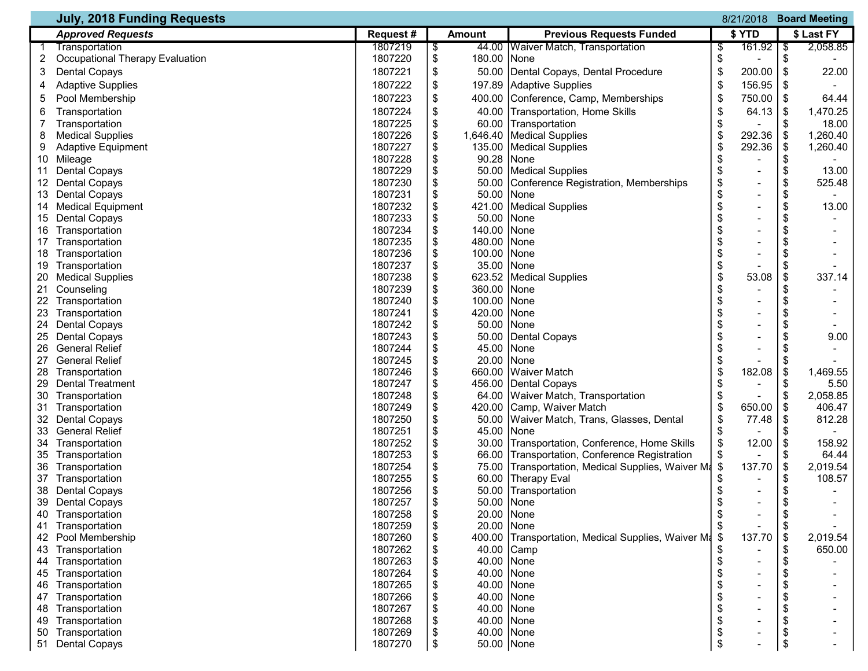|    | <b>July, 2018 Funding Requests</b><br><b>Board Meeting</b><br>8/21/2018 |           |    |               |                                                   |    |                              |    |            |
|----|-------------------------------------------------------------------------|-----------|----|---------------|---------------------------------------------------|----|------------------------------|----|------------|
|    | <b>Approved Requests</b>                                                | Request # |    | <b>Amount</b> | <b>Previous Requests Funded</b>                   |    | \$ YTD                       |    | \$ Last FY |
|    | Transportation                                                          | 1807219   | \$ |               | 44.00   Waiver Match, Transportation              | \$ | 161.92                       | \$ | 2,058.85   |
| 2  | <b>Occupational Therapy Evaluation</b>                                  | 1807220   | \$ | 180.00        | None                                              | \$ |                              | \$ |            |
| 3  | <b>Dental Copays</b>                                                    | 1807221   | \$ | 50.00         | Dental Copays, Dental Procedure                   | \$ | 200.00                       | \$ | 22.00      |
| 4  | <b>Adaptive Supplies</b>                                                | 1807222   | \$ | 197.89        | Adaptive Supplies                                 | \$ | 156.95                       | \$ |            |
| 5  | Pool Membership                                                         | 1807223   | \$ | 400.00        | Conference, Camp, Memberships                     | \$ | 750.00                       | \$ | 64.44      |
| 6  | Transportation                                                          | 1807224   | \$ | 40.00         | Transportation, Home Skills                       | \$ | 64.13                        | \$ | 1,470.25   |
|    | Transportation                                                          | 1807225   | \$ |               | 60.00 Transportation                              | \$ |                              | \$ | 18.00      |
| 8  | <b>Medical Supplies</b>                                                 | 1807226   | \$ | 1,646.40      | Medical Supplies                                  | \$ | 292.36                       | \$ | 1,260.40   |
| 9  | <b>Adaptive Equipment</b>                                               | 1807227   | \$ |               | 135.00 Medical Supplies                           | \$ | 292.36                       | \$ | 1,260.40   |
|    | 10 Mileage                                                              | 1807228   | \$ | 90.28         | None                                              |    |                              | \$ |            |
|    | 11 Dental Copays                                                        | 1807229   | \$ |               | 50.00   Medical Supplies                          | \$ | $\overline{a}$               | \$ | 13.00      |
|    | 12 Dental Copays                                                        | 1807230   | \$ | 50.00         | Conference Registration, Memberships              | \$ | $\overline{\phantom{a}}$     | \$ | 525.48     |
|    | 13 Dental Copays                                                        | 1807231   | \$ | 50.00         | None                                              | \$ | $\blacksquare$               | \$ |            |
|    | 14 Medical Equipment                                                    | 1807232   | \$ | 421.00        | <b>Medical Supplies</b>                           | \$ |                              | \$ | 13.00      |
|    | 15 Dental Copays                                                        | 1807233   | \$ | 50.00         | None                                              |    | -                            |    |            |
|    | 16 Transportation                                                       | 1807234   | \$ | 140.00        | None                                              |    |                              |    |            |
|    | 17 Transportation                                                       | 1807235   | \$ | 480.00        | None                                              |    | -                            | \$ |            |
|    | 18 Transportation                                                       | 1807236   | \$ | 100.00        | None                                              |    | $\overline{\phantom{a}}$     | \$ |            |
|    | 19 Transportation                                                       | 1807237   | \$ | 35.00         | <b>None</b>                                       | \$ |                              | \$ |            |
| 20 | <b>Medical Supplies</b>                                                 | 1807238   | \$ |               | 623.52 Medical Supplies                           |    | 53.08                        | \$ | 337.14     |
| 21 | Counseling                                                              | 1807239   | \$ | 360.00        | None                                              |    |                              | \$ |            |
|    | 22 Transportation                                                       | 1807240   | \$ | 100.00        | None                                              |    |                              |    |            |
|    | 23 Transportation                                                       | 1807241   | \$ | 420.00        | None                                              |    | $\overline{\phantom{a}}$     |    |            |
|    | 24 Dental Copays                                                        | 1807242   | \$ | 50.00         | None                                              |    |                              | S  |            |
| 25 | <b>Dental Copays</b>                                                    | 1807243   | \$ | 50.00         | Dental Copays                                     |    | $\qquad \qquad \blacksquare$ |    | 9.00       |
| 26 | <b>General Relief</b>                                                   | 1807244   | \$ | 45.00         | None                                              |    |                              | \$ |            |
|    | 27 General Relief                                                       | 1807245   | \$ | 20.00         | None                                              |    |                              | \$ |            |
|    | 28 Transportation                                                       | 1807246   | \$ | 660.00        | <b>Waiver Match</b>                               | \$ | 182.08                       | \$ | 1,469.55   |
| 29 | <b>Dental Treatment</b>                                                 | 1807247   | \$ |               | 456.00 Dental Copays                              | S  |                              | \$ | 5.50       |
| 30 | Transportation                                                          | 1807248   | \$ |               | 64.00 Waiver Match, Transportation                |    |                              | \$ | 2,058.85   |
|    | 31 Transportation                                                       | 1807249   | \$ |               | 420.00 Camp, Waiver Match                         | \$ | 650.00                       | \$ | 406.47     |
|    | 32 Dental Copays                                                        | 1807250   | \$ |               | 50.00 Waiver Match, Trans, Glasses, Dental        | \$ | 77.48                        | \$ | 812.28     |
|    | 33 General Relief                                                       | 1807251   | \$ | 45.00         | INone                                             | \$ |                              |    |            |
|    | 34 Transportation                                                       | 1807252   | \$ |               | 30.00 Transportation, Conference, Home Skills     | \$ | 12.00                        | \$ | 158.92     |
|    | 35 Transportation                                                       | 1807253   | \$ |               | 66.00 Transportation, Conference Registration     | \$ | -                            | \$ | 64.44      |
|    | 36 Transportation                                                       | 1807254   | \$ |               | 75.00 Transportation, Medical Supplies, Waiver M  | \$ | 137.70                       | \$ | 2,019.54   |
|    | 37 Transportation                                                       | 1807255   | \$ |               | 60.00 Therapy Eval                                | S  | $\overline{\phantom{a}}$     | \$ | 108.57     |
|    | 38 Dental Copays                                                        | 1807256   | \$ |               | 50.00 Transportation                              | \$ | -                            | \$ |            |
|    | 39 Dental Copays                                                        | 1807257   | \$ | 50.00 None    |                                                   | \$ |                              | \$ |            |
| 40 | Transportation                                                          | 1807258   | \$ | 20.00 None    |                                                   | \$ | -                            | \$ |            |
| 41 | Transportation                                                          | 1807259   | \$ | 20.00 None    |                                                   |    |                              |    |            |
|    | 42 Pool Membership                                                      | 1807260   | \$ |               | 400.00 Transportation, Medical Supplies, Waiver M | \$ | 137.70                       | \$ | 2,019.54   |
| 43 | Transportation                                                          | 1807262   | \$ |               | 40.00 Camp                                        |    |                              | \$ | 650.00     |
| 44 | Transportation                                                          | 1807263   | \$ | 40.00 None    |                                                   | \$ |                              | \$ |            |
| 45 | Transportation                                                          | 1807264   | \$ | 40.00 None    |                                                   |    |                              |    |            |
| 46 | Transportation                                                          | 1807265   | \$ | 40.00 None    |                                                   |    |                              |    |            |
|    | 47 Transportation                                                       | 1807266   | \$ | 40.00 None    |                                                   |    | -                            | \$ |            |
|    | 48 Transportation                                                       | 1807267   | \$ | 40.00 None    |                                                   |    |                              |    |            |
| 49 | Transportation                                                          | 1807268   | \$ | 40.00 None    |                                                   | \$ |                              | S  |            |
| 50 | Transportation                                                          | 1807269   | \$ | 40.00 None    |                                                   |    |                              |    |            |
|    | 51 Dental Copays                                                        | 1807270   | \$ | 50.00 None    |                                                   | \$ |                              | \$ |            |